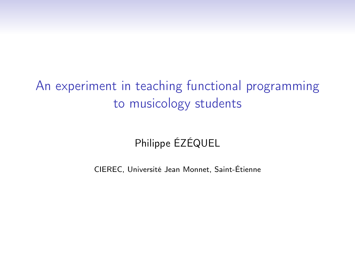# An experiment in teaching functional programming to musicology students

### Philippe ÉZÉQUEL

CIEREC, Université Jean Monnet, Saint-Étienne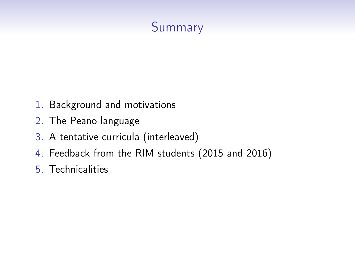# Summary

- 1. Background and motivations
- 2. The Peano language
- 3. A tentative curricula (interleaved)
- 4. Feedback from the RIM students (2015 and 2016)
- 5. Technicalities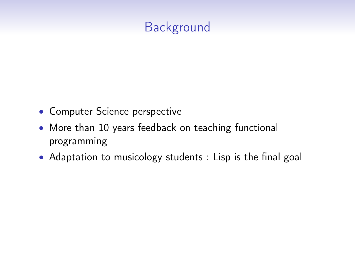# **Background**

- Computer Science perspective
- More than 10 years feedback on teaching functional programming
- Adaptation to musicology students : Lisp is the final goal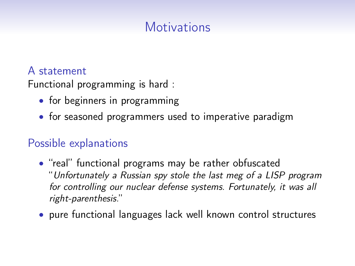# **Motivations**

#### A statement

Functional programming is hard :

- for beginners in programming
- for seasoned programmers used to imperative paradigm

### Possible explanations

- "real" functional programs may be rather obfuscated "Unfortunately a Russian spy stole the last meg of a LISP program for controlling our nuclear defense systems. Fortunately, it was all right-parenthesis."
- pure functional languages lack well known control structures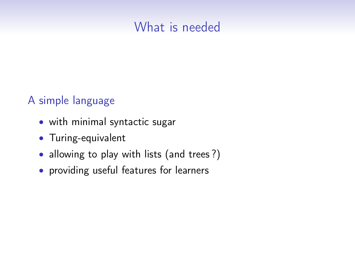### What is needed

#### A simple language

- with minimal syntactic sugar
- Turing-equivalent
- allowing to play with lists (and trees?)
- providing useful features for learners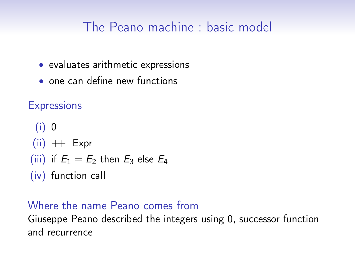## The Peano machine : basic model

- evaluates arithmetic expressions
- one can define new functions

**Expressions** 

(i) 0  $(ii)$   $\text{++}$  Expr (iii) if  $E_1 = E_2$  then  $E_3$  else  $E_4$ (iv) function call

#### Where the name Peano comes from

Giuseppe Peano described the integers using 0, successor function and recurrence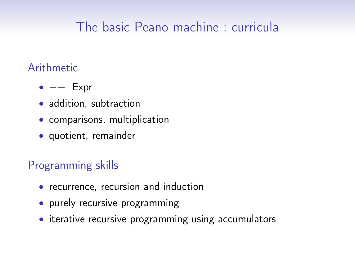# The basic Peano machine : curricula

#### Arithmetic

- $\bullet$   $--$  Expr
- addition, subtraction
- comparisons, multiplication
- quotient, remainder

### Programming skills

- recurrence, recursion and induction
- purely recursive programming
- iterative recursive programming using accumulators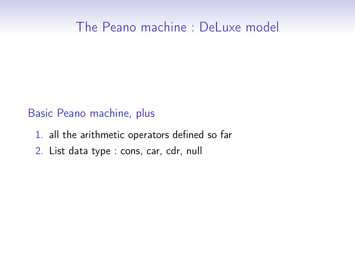### The Peano machine : DeLuxe model

#### Basic Peano machine, plus

- 1. all the arithmetic operators defined so far
- 2. List data type : cons, car, cdr, null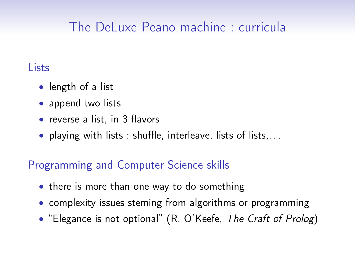# The DeLuxe Peano machine : curricula

#### Lists

- length of a list
- append two lists
- reverse a list, in 3 flavors
- playing with lists : shuffle, interleave, lists of lists,. . .

### Programming and Computer Science skills

- there is more than one way to do something
- complexity issues steming from algorithms or programming
- "Elegance is not optional" (R. O'Keefe, The Craft of Prolog)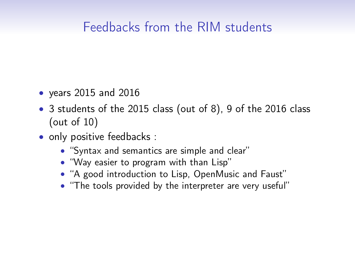## Feedbacks from the RIM students

- years 2015 and 2016
- 3 students of the 2015 class (out of 8), 9 of the 2016 class (out of 10)
- only positive feedbacks :
	- "Syntax and semantics are simple and clear"
	- "Way easier to program with than Lisp"
	- "A good introduction to Lisp, OpenMusic and Faust"
	- "The tools provided by the interpreter are very useful"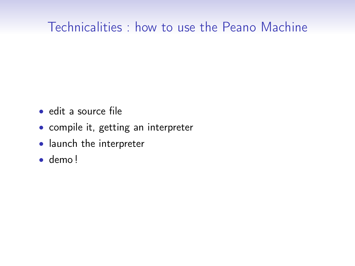## Technicalities : how to use the Peano Machine

- edit a source file
- compile it, getting an interpreter
- launch the interpreter
- demo !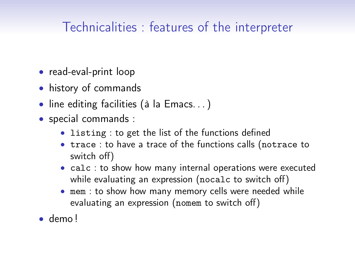# Technicalities : features of the interpreter

- read-eval-print loop
- history of commands
- line editing facilities (à la Emacs. . . )
- special commands :
	- listing : to get the list of the functions defined
	- trace : to have a trace of the functions calls (notrace to switch off)
	- calc : to show how many internal operations were executed while evaluating an expression (nocalc to switch off)
	- mem : to show how many memory cells were needed while evaluating an expression (nomem to switch off)
- demo !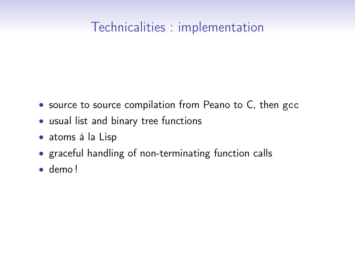## Technicalities : implementation

- source to source compilation from Peano to C, then gcc
- usual list and binary tree functions
- atoms à la Lisp
- graceful handling of non-terminating function calls
- demo !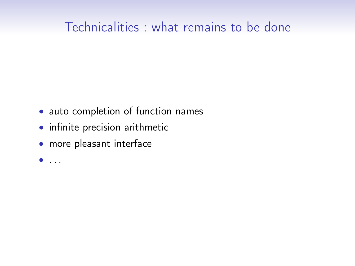### Technicalities : what remains to be done

- auto completion of function names
- infinite precision arithmetic
- more pleasant interface
- $\bullet$  . . .